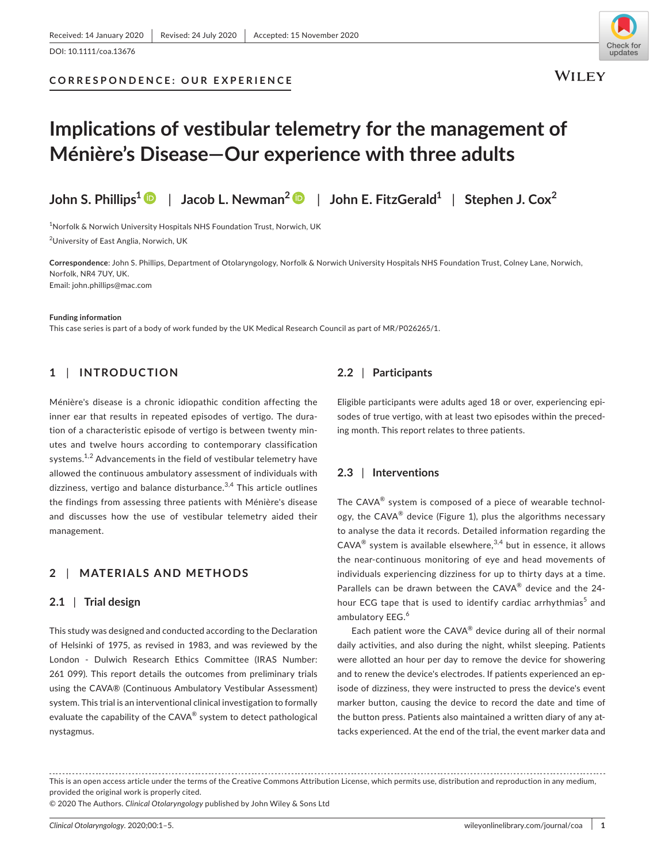## **CORRESPONDENCE: OUR EXPERIENCE**



**WILEY** 

# **Implications of vestibular telemetry for the management of Ménière's Disease—Our experience with three adults**

**John S. Phillips[1](https://orcid.org/0000-0001-7886-6283)** | **Jacob L. Newman<sup>2</sup>** | **John E. FitzGerald1** | **Stephen J. Cox<sup>2</sup>**

 $^{\rm 1}$ Norfolk & Norwich University Hospitals NHS Foundation Trust, Norwich, UK 2 University of East Anglia, Norwich, UK

**Correspondence**: John S. Phillips, Department of Otolaryngology, Norfolk & Norwich University Hospitals NHS Foundation Trust, Colney Lane, Norwich, Norfolk, NR4 7UY, UK. Email: [john.phillips@mac.com](mailto:john.phillips@mac.com)

**Funding information**

This case series is part of a body of work funded by the UK Medical Research Council as part of MR/P026265/1.

# **1** | **INTRODUCTION**

Ménière's disease is a chronic idiopathic condition affecting the inner ear that results in repeated episodes of vertigo. The duration of a characteristic episode of vertigo is between twenty minutes and twelve hours according to contemporary classification systems.<sup>1,2</sup> Advancements in the field of vestibular telemetry have allowed the continuous ambulatory assessment of individuals with dizziness, vertigo and balance disturbance. $3,4$  This article outlines the findings from assessing three patients with Ménière's disease and discusses how the use of vestibular telemetry aided their management.

# **2** | **MATERIALS AND METHODS**

# **2.1** | **Trial design**

This study was designed and conducted according to the Declaration of Helsinki of 1975, as revised in 1983, and was reviewed by the London - Dulwich Research Ethics Committee (IRAS Number: 261 099). This report details the outcomes from preliminary trials using the CAVA® (Continuous Ambulatory Vestibular Assessment) system. This trial is an interventional clinical investigation to formally evaluate the capability of the CAVA<sup>®</sup> system to detect pathological nystagmus.

# **2.2** | **Participants**

Eligible participants were adults aged 18 or over, experiencing episodes of true vertigo, with at least two episodes within the preceding month. This report relates to three patients.

# **2.3** | **Interventions**

The CAVA® system is composed of a piece of wearable technology, the CAVA $^{\circ}$  device (Figure 1), plus the algorithms necessary to analyse the data it records. Detailed information regarding the  $CAVA^{\circledR}$  system is available elsewhere,  $3,4$  but in essence, it allows the near-continuous monitoring of eye and head movements of individuals experiencing dizziness for up to thirty days at a time. Parallels can be drawn between the CAVA® device and the 24 hour ECG tape that is used to identify cardiac arrhythmias<sup>5</sup> and ambulatory EEG.<sup>6</sup>

Each patient wore the  $CAVA^{\otimes}$  device during all of their normal daily activities, and also during the night, whilst sleeping. Patients were allotted an hour per day to remove the device for showering and to renew the device's electrodes. If patients experienced an episode of dizziness, they were instructed to press the device's event marker button, causing the device to record the date and time of the button press. Patients also maintained a written diary of any attacks experienced. At the end of the trial, the event marker data and

© 2020 The Authors. *Clinical Otolaryngology* published by John Wiley & Sons Ltd

This is an open access article under the terms of the [Creative Commons Attribution](http://creativecommons.org/licenses/by/4.0/) License, which permits use, distribution and reproduction in any medium, provided the original work is properly cited.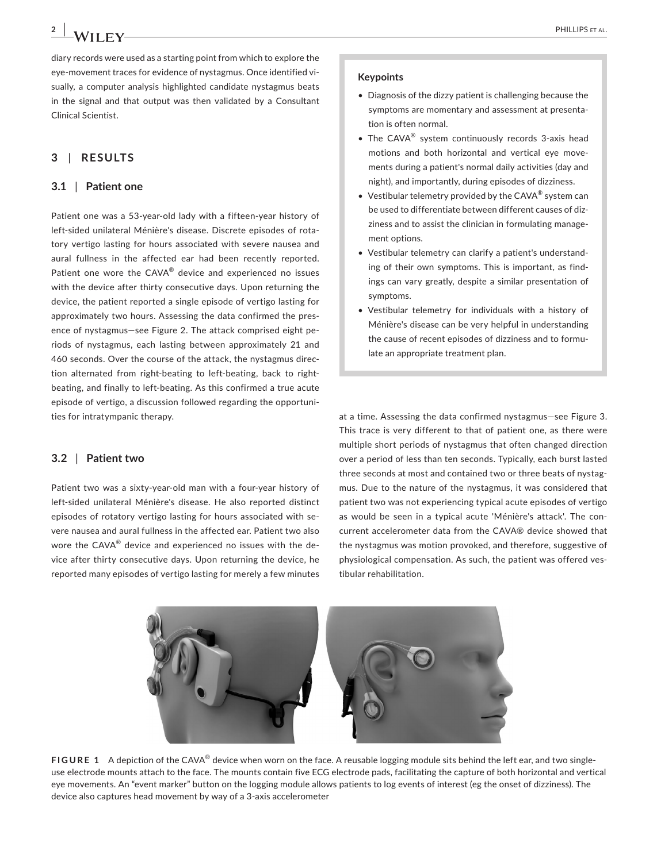diary records were used as a starting point from which to explore the eye-movement traces for evidence of nystagmus. Once identified visually, a computer analysis highlighted candidate nystagmus beats in the signal and that output was then validated by a Consultant Clinical Scientist.

# **3** | **RESULTS**

# **3.1** | **Patient one**

Patient one was a 53-year-old lady with a fifteen-year history of left-sided unilateral Ménière's disease. Discrete episodes of rotatory vertigo lasting for hours associated with severe nausea and aural fullness in the affected ear had been recently reported. Patient one wore the CAVA® device and experienced no issues with the device after thirty consecutive days. Upon returning the device, the patient reported a single episode of vertigo lasting for approximately two hours. Assessing the data confirmed the presence of nystagmus—see Figure 2. The attack comprised eight periods of nystagmus, each lasting between approximately 21 and 460 seconds. Over the course of the attack, the nystagmus direction alternated from right-beating to left-beating, back to rightbeating, and finally to left-beating. As this confirmed a true acute episode of vertigo, a discussion followed regarding the opportunities for intratympanic therapy.

## **3.2** | **Patient two**

Patient two was a sixty-year-old man with a four-year history of left-sided unilateral Ménière's disease. He also reported distinct episodes of rotatory vertigo lasting for hours associated with severe nausea and aural fullness in the affected ear. Patient two also wore the CAVA® device and experienced no issues with the device after thirty consecutive days. Upon returning the device, he reported many episodes of vertigo lasting for merely a few minutes

#### **Keypoints**

- Diagnosis of the dizzy patient is challenging because the symptoms are momentary and assessment at presentation is often normal.
- The CAVA<sup>®</sup> system continuously records 3-axis head motions and both horizontal and vertical eye movements during a patient's normal daily activities (day and night), and importantly, during episodes of dizziness.
- Vestibular telemetry provided by the CAVA<sup>®</sup> system can be used to differentiate between different causes of dizziness and to assist the clinician in formulating management options.
- Vestibular telemetry can clarify a patient's understanding of their own symptoms. This is important, as findings can vary greatly, despite a similar presentation of symptoms.
- Vestibular telemetry for individuals with a history of Ménière's disease can be very helpful in understanding the cause of recent episodes of dizziness and to formulate an appropriate treatment plan.

at a time. Assessing the data confirmed nystagmus—see Figure 3. This trace is very different to that of patient one, as there were multiple short periods of nystagmus that often changed direction over a period of less than ten seconds. Typically, each burst lasted three seconds at most and contained two or three beats of nystagmus. Due to the nature of the nystagmus, it was considered that patient two was not experiencing typical acute episodes of vertigo as would be seen in a typical acute 'Ménière's attack'. The concurrent accelerometer data from the CAVA® device showed that the nystagmus was motion provoked, and therefore, suggestive of physiological compensation. As such, the patient was offered vestibular rehabilitation.



**FIGURE 1** A depiction of the CAVA® device when worn on the face. A reusable logging module sits behind the left ear, and two singleuse electrode mounts attach to the face. The mounts contain five ECG electrode pads, facilitating the capture of both horizontal and vertical eye movements. An "event marker" button on the logging module allows patients to log events of interest (eg the onset of dizziness). The device also captures head movement by way of a 3-axis accelerometer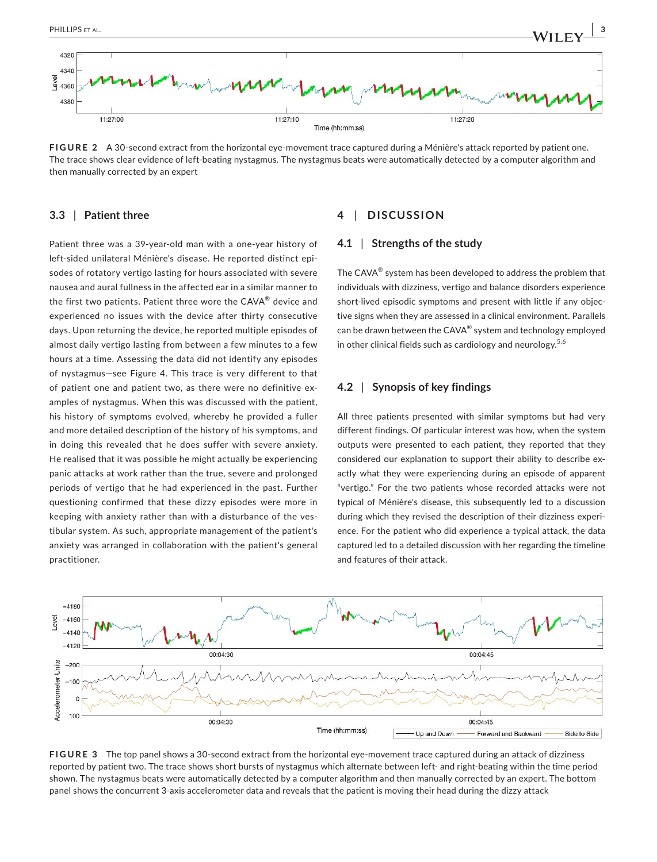

**FIGURE 2** A 30-second extract from the horizontal eye-movement trace captured during a Ménière's attack reported by patient one. The trace shows clear evidence of left-beating nystagmus. The nystagmus beats were automatically detected by a computer algorithm and then manually corrected by an expert

## **3.3** | **Patient three**

Patient three was a 39-year-old man with a one-year history of left-sided unilateral Ménière's disease. He reported distinct episodes of rotatory vertigo lasting for hours associated with severe nausea and aural fullness in the affected ear in a similar manner to the first two patients. Patient three wore the CAVA® device and experienced no issues with the device after thirty consecutive days. Upon returning the device, he reported multiple episodes of almost daily vertigo lasting from between a few minutes to a few hours at a time. Assessing the data did not identify any episodes of nystagmus—see Figure 4. This trace is very different to that of patient one and patient two, as there were no definitive examples of nystagmus. When this was discussed with the patient, his history of symptoms evolved, whereby he provided a fuller and more detailed description of the history of his symptoms, and in doing this revealed that he does suffer with severe anxiety. He realised that it was possible he might actually be experiencing panic attacks at work rather than the true, severe and prolonged periods of vertigo that he had experienced in the past. Further questioning confirmed that these dizzy episodes were more in keeping with anxiety rather than with a disturbance of the vestibular system. As such, appropriate management of the patient's anxiety was arranged in collaboration with the patient's general practitioner.

# **4** | **DISCUSSION**

## **4.1** | **Strengths of the study**

The CAVA® system has been developed to address the problem that individuals with dizziness, vertigo and balance disorders experience short-lived episodic symptoms and present with little if any objective signs when they are assessed in a clinical environment. Parallels can be drawn between the CAVA $^{\circledR}$  system and technology employed in other clinical fields such as cardiology and neurology.<sup>5,6</sup>

# **4.2** | **Synopsis of key findings**

All three patients presented with similar symptoms but had very different findings. Of particular interest was how, when the system outputs were presented to each patient, they reported that they considered our explanation to support their ability to describe exactly what they were experiencing during an episode of apparent "vertigo." For the two patients whose recorded attacks were not typical of Ménière's disease, this subsequently led to a discussion during which they revised the description of their dizziness experience. For the patient who did experience a typical attack, the data captured led to a detailed discussion with her regarding the timeline and features of their attack.



**FIGURE 3** The top panel shows a 30-second extract from the horizontal eye-movement trace captured during an attack of dizziness reported by patient two. The trace shows short bursts of nystagmus which alternate between left- and right-beating within the time period shown. The nystagmus beats were automatically detected by a computer algorithm and then manually corrected by an expert. The bottom panel shows the concurrent 3-axis accelerometer data and reveals that the patient is moving their head during the dizzy attack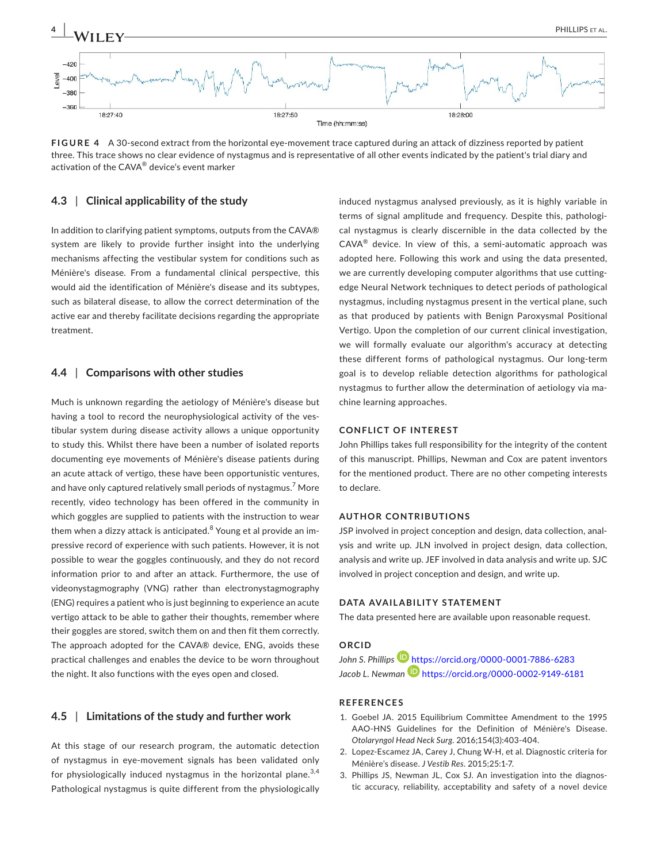

**FIGURE 4** A 30-second extract from the horizontal eye-movement trace captured during an attack of dizziness reported by patient three. This trace shows no clear evidence of nystagmus and is representative of all other events indicated by the patient's trial diary and activation of the CAVA® device's event marker

## **4.3** | **Clinical applicability of the study**

In addition to clarifying patient symptoms, outputs from the CAVA® system are likely to provide further insight into the underlying mechanisms affecting the vestibular system for conditions such as Ménière's disease. From a fundamental clinical perspective, this would aid the identification of Ménière's disease and its subtypes, such as bilateral disease, to allow the correct determination of the active ear and thereby facilitate decisions regarding the appropriate treatment.

## **4.4** | **Comparisons with other studies**

Much is unknown regarding the aetiology of Ménière's disease but having a tool to record the neurophysiological activity of the vestibular system during disease activity allows a unique opportunity to study this. Whilst there have been a number of isolated reports documenting eye movements of Ménière's disease patients during an acute attack of vertigo, these have been opportunistic ventures, and have only captured relatively small periods of nystagmus.<sup>7</sup> More recently, video technology has been offered in the community in which goggles are supplied to patients with the instruction to wear them when a dizzy attack is anticipated.<sup>8</sup> Young et al provide an impressive record of experience with such patients. However, it is not possible to wear the goggles continuously, and they do not record information prior to and after an attack. Furthermore, the use of videonystagmography (VNG) rather than electronystagmography (ENG) requires a patient who is just beginning to experience an acute vertigo attack to be able to gather their thoughts, remember where their goggles are stored, switch them on and then fit them correctly. The approach adopted for the CAVA® device, ENG, avoids these practical challenges and enables the device to be worn throughout the night. It also functions with the eyes open and closed.

# **4.5** | **Limitations of the study and further work**

At this stage of our research program, the automatic detection of nystagmus in eye-movement signals has been validated only for physiologically induced nystagmus in the horizontal plane. $3,4$ Pathological nystagmus is quite different from the physiologically

induced nystagmus analysed previously, as it is highly variable in terms of signal amplitude and frequency. Despite this, pathological nystagmus is clearly discernible in the data collected by the  $CAVA^{\circledR}$  device. In view of this, a semi-automatic approach was adopted here. Following this work and using the data presented, we are currently developing computer algorithms that use cuttingedge Neural Network techniques to detect periods of pathological nystagmus, including nystagmus present in the vertical plane, such as that produced by patients with Benign Paroxysmal Positional Vertigo. Upon the completion of our current clinical investigation, we will formally evaluate our algorithm's accuracy at detecting these different forms of pathological nystagmus. Our long-term goal is to develop reliable detection algorithms for pathological nystagmus to further allow the determination of aetiology via machine learning approaches.

## **CONFLICT OF INTEREST**

John Phillips takes full responsibility for the integrity of the content of this manuscript. Phillips, Newman and Cox are patent inventors for the mentioned product. There are no other competing interests to declare.

#### **AUTHOR CONTRIBUTIONS**

JSP involved in project conception and design, data collection, analysis and write up. JLN involved in project design, data collection, analysis and write up. JEF involved in data analysis and write up. SJC involved in project conception and design, and write up.

#### **DATA AVAILABILITY STATEMENT**

The data presented here are available upon reasonable request.

# **ORCID**

John S. Phillips<sup>1</sup> <https://orcid.org/0000-0001-7886-6283> Jacob L. Newman **b** <https://orcid.org/0000-0002-9149-6181>

#### **REFERENCES**

- 1. Goebel JA. 2015 Equilibrium Committee Amendment to the 1995 AAO-HNS Guidelines for the Definition of Ménière's Disease. *Otolaryngol Head Neck Surg*. 2016;154(3):403-404.
- 2. Lopez-Escamez JA, Carey J, Chung W-H, et al. Diagnostic criteria for Ménière's disease. *J Vestib Res*. 2015;25:1-7.
- 3. Phillips JS, Newman JL, Cox SJ. An investigation into the diagnostic accuracy, reliability, acceptability and safety of a novel device